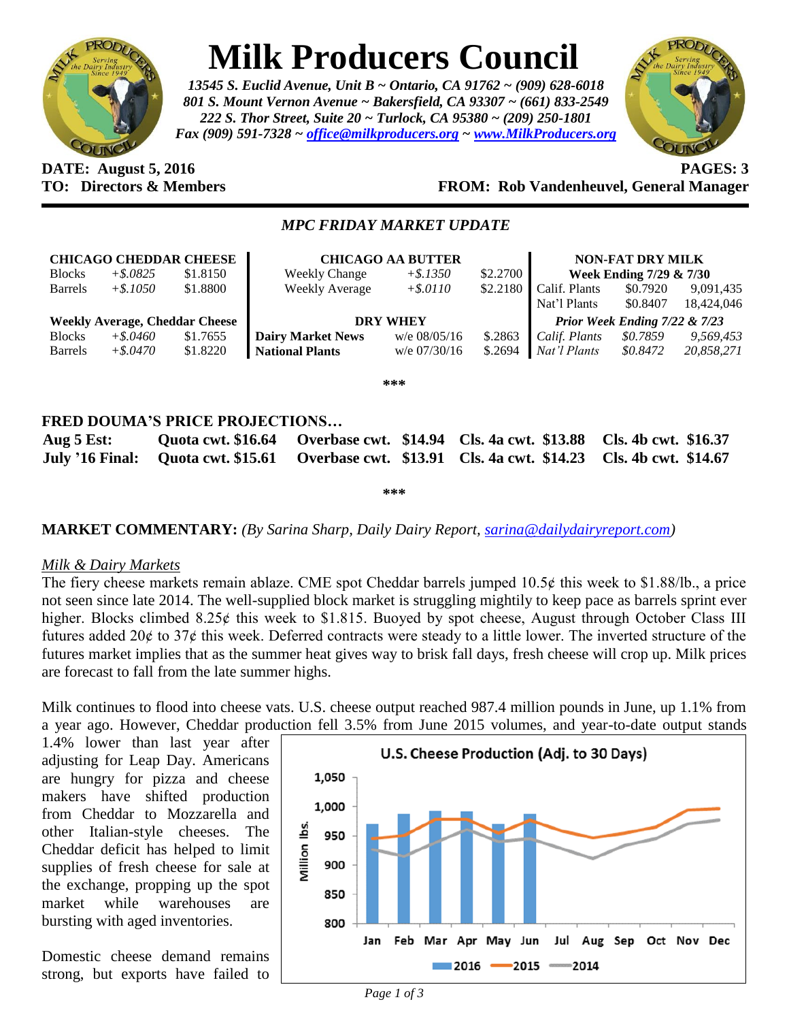

# **Milk Producers Council**

*13545 S. Euclid Avenue, Unit B ~ Ontario, CA 91762 ~ (909) 628-6018 801 S. Mount Vernon Avenue ~ Bakersfield, CA 93307 ~ (661) 833-2549 222 S. Thor Street, Suite 20 ~ Turlock, CA 95380 ~ (209) 250-1801 Fax (909) 591-7328 ~ [office@milkproducers.org](mailto:office@milkproducers.org) ~ [www.MilkProducers.org](http://www.milkproducers.org/)*



## **DATE: August 5, 2016 PAGES: 3 TO: Directors & Members FROM: Rob Vandenheuvel, General Manager**

### *MPC FRIDAY MARKET UPDATE*

| <b>CHICAGO CHEDDAR CHEESE</b> |             |                                       | <b>CHICAGO AA BUTTER</b> |                 | <b>NON-FAT DRY MILK</b> |                         |                               |            |
|-------------------------------|-------------|---------------------------------------|--------------------------|-----------------|-------------------------|-------------------------|-------------------------------|------------|
| <b>Blocks</b>                 | $+$ \$.0825 | \$1.8150                              | <b>Weekly Change</b>     | $+$ \$.1350     | \$2.2700                | Week Ending 7/29 & 7/30 |                               |            |
| <b>Barrels</b>                | $+$ \$.1050 | \$1.8800                              | <b>Weekly Average</b>    | $+$ \$.0110     | \$2.2180                | Calif. Plants           | \$0.7920                      | 9,091,435  |
|                               |             |                                       |                          |                 |                         | Nat'l Plants            | \$0.8407                      | 18.424,046 |
|                               |             |                                       |                          |                 |                         |                         |                               |            |
|                               |             | <b>Weekly Average, Cheddar Cheese</b> |                          | <b>DRY WHEY</b> |                         |                         | Prior Week Ending 7/22 & 7/23 |            |
| <b>Blocks</b>                 | $+$ \$.0460 | \$1.7655                              | <b>Dairy Market News</b> | $w/e$ 08/05/16  | \$.2863                 | Calif. Plants           | \$0.7859                      | 9,569,453  |
| <b>Barrels</b>                | $+$ \$.0470 | \$1.8220                              | <b>National Plants</b>   | $w/e$ 07/30/16  | \$.2694                 | Nat'l Plants            | \$0.8472                      | 20,858,271 |

**\*\*\***

## **FRED DOUMA'S PRICE PROJECTIONS…**

| Aug $5$ Est: |  | Quota cwt. \$16.64 Overbase cwt. \$14.94 Cls. 4a cwt. \$13.88 Cls. 4b cwt. \$16.37                 |  |
|--------------|--|----------------------------------------------------------------------------------------------------|--|
|              |  | July '16 Final: Quota cwt. \$15.61 Overbase cwt. \$13.91 Cls. 4a cwt. \$14.23 Cls. 4b cwt. \$14.67 |  |

**\*\*\***

## **MARKET COMMENTARY:** *(By Sarina Sharp, Daily Dairy Report, [sarina@dailydairyreport.com\)](mailto:sarina@dailydairyreport.com)*

#### *Milk & Dairy Markets*

The fiery cheese markets remain ablaze. CME spot Cheddar barrels jumped  $10.5¢$  this week to \$1.88/lb., a price not seen since late 2014. The well-supplied block market is struggling mightily to keep pace as barrels sprint ever higher. Blocks climbed  $8.25¢$  this week to \$1.815. Buoyed by spot cheese, August through October Class III futures added  $20¢$  to  $37¢$  this week. Deferred contracts were steady to a little lower. The inverted structure of the futures market implies that as the summer heat gives way to brisk fall days, fresh cheese will crop up. Milk prices are forecast to fall from the late summer highs.

Milk continues to flood into cheese vats. U.S. cheese output reached 987.4 million pounds in June, up 1.1% from a year ago. However, Cheddar production fell 3.5% from June 2015 volumes, and year-to-date output stands

1.4% lower than last year after adjusting for Leap Day. Americans are hungry for pizza and cheese makers have shifted production from Cheddar to Mozzarella and other Italian-style cheeses. The Cheddar deficit has helped to limit supplies of fresh cheese for sale at the exchange, propping up the spot market while warehouses are bursting with aged inventories.

Domestic cheese demand remains strong, but exports have failed to

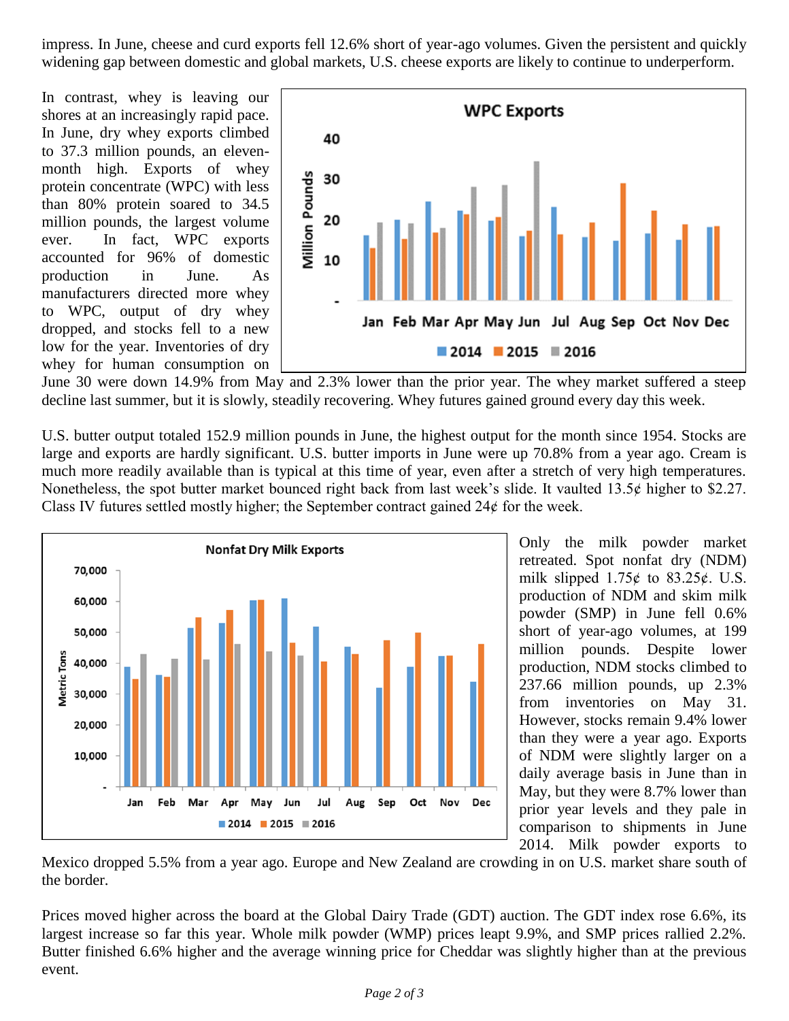impress. In June, cheese and curd exports fell 12.6% short of year-ago volumes. Given the persistent and quickly widening gap between domestic and global markets, U.S. cheese exports are likely to continue to underperform.

In contrast, whey is leaving our shores at an increasingly rapid pace. In June, dry whey exports climbed to 37.3 million pounds, an elevenmonth high. Exports of whey protein concentrate (WPC) with less than 80% protein soared to 34.5 million pounds, the largest volume ever. In fact, WPC exports accounted for 96% of domestic production in June. As manufacturers directed more whey to WPC, output of dry whey dropped, and stocks fell to a new low for the year. Inventories of dry whey for human consumption on



June 30 were down 14.9% from May and 2.3% lower than the prior year. The whey market suffered a steep decline last summer, but it is slowly, steadily recovering. Whey futures gained ground every day this week.

U.S. butter output totaled 152.9 million pounds in June, the highest output for the month since 1954. Stocks are large and exports are hardly significant. U.S. butter imports in June were up 70.8% from a year ago. Cream is much more readily available than is typical at this time of year, even after a stretch of very high temperatures. Nonetheless, the spot butter market bounced right back from last week's slide. It vaulted  $13.5¢$  higher to \$2.27. Class IV futures settled mostly higher; the September contract gained  $24¢$  for the week.



Only the milk powder market retreated. Spot nonfat dry (NDM) milk slipped  $1.75¢$  to  $83.25¢$ . U.S. production of NDM and skim milk powder (SMP) in June fell 0.6% short of year-ago volumes, at 199 million pounds. Despite lower production, NDM stocks climbed to 237.66 million pounds, up 2.3% from inventories on May 31. However, stocks remain 9.4% lower than they were a year ago. Exports of NDM were slightly larger on a daily average basis in June than in May, but they were 8.7% lower than prior year levels and they pale in comparison to shipments in June 2014. Milk powder exports to

Mexico dropped 5.5% from a year ago. Europe and New Zealand are crowding in on U.S. market share south of the border.

Prices moved higher across the board at the Global Dairy Trade (GDT) auction. The GDT index rose 6.6%, its largest increase so far this year. Whole milk powder (WMP) prices leapt 9.9%, and SMP prices rallied 2.2%. Butter finished 6.6% higher and the average winning price for Cheddar was slightly higher than at the previous event.